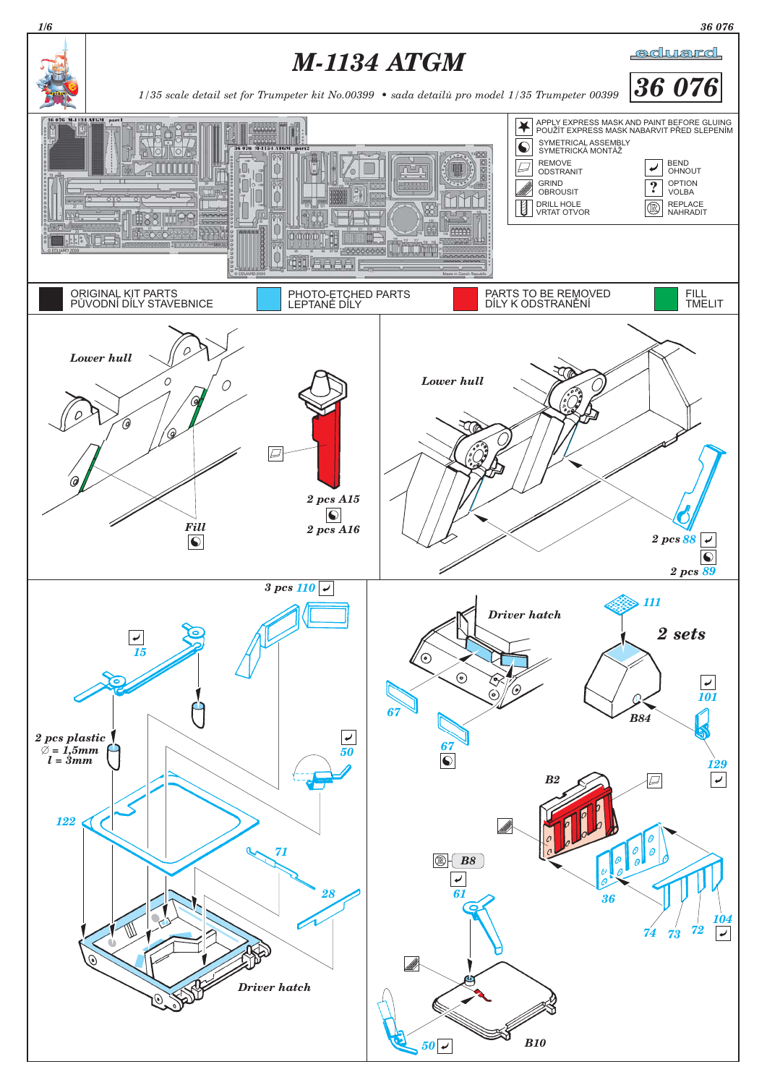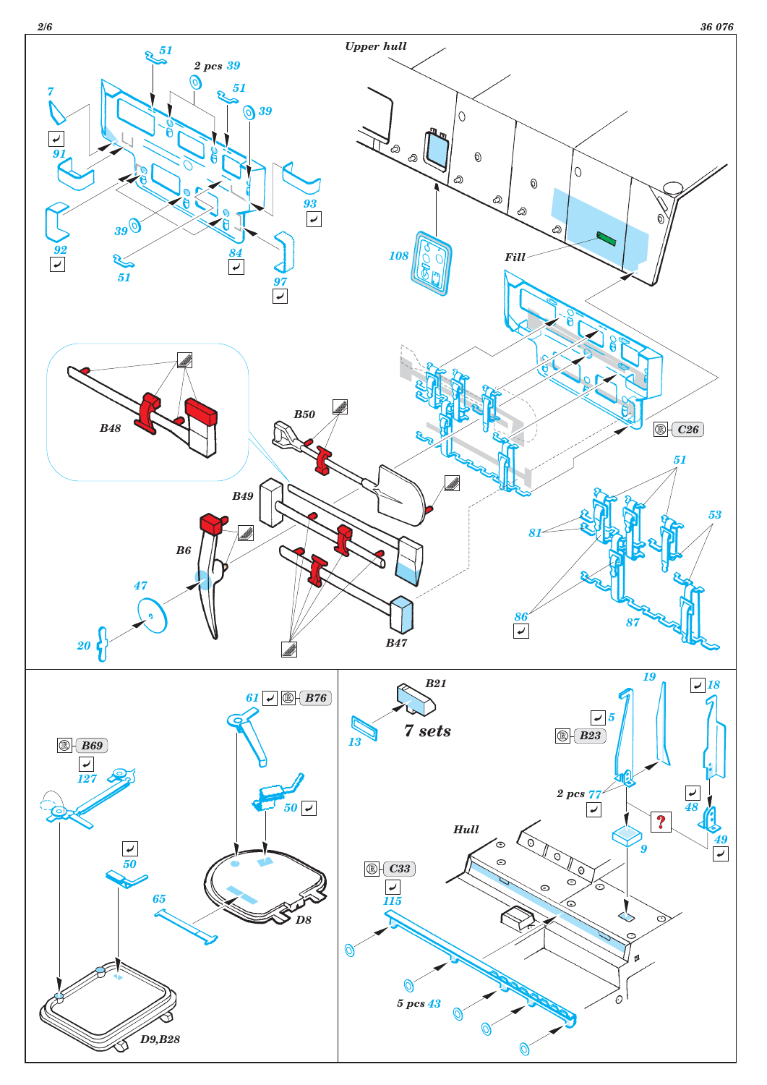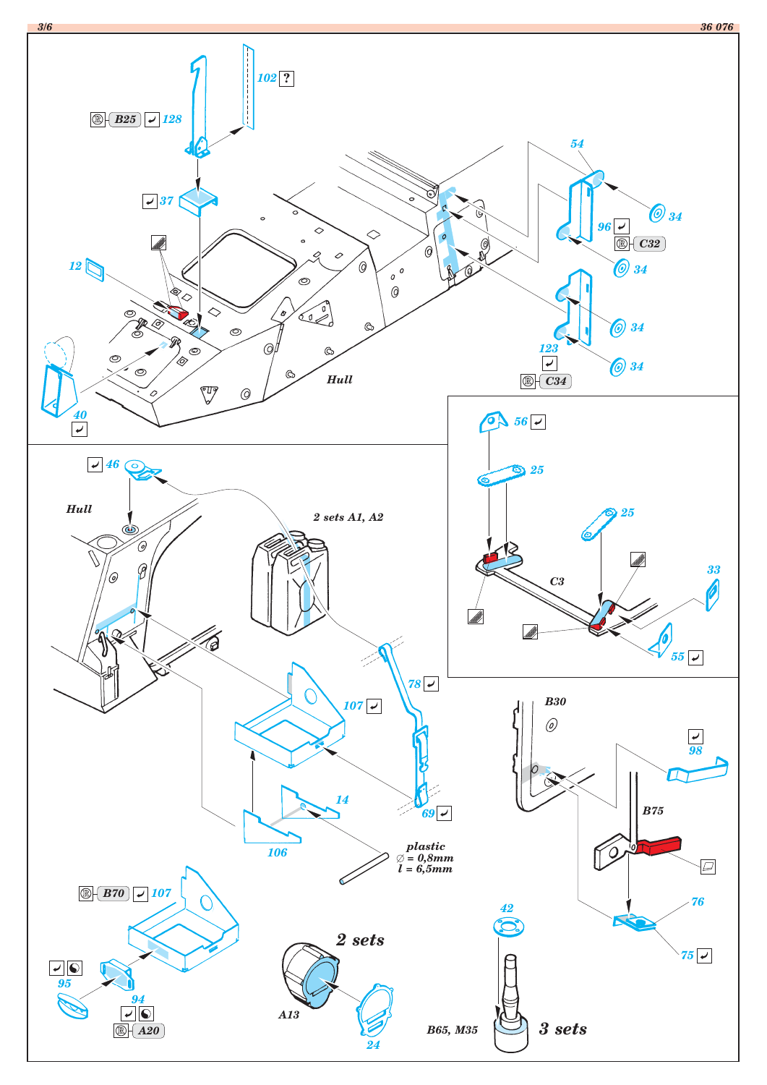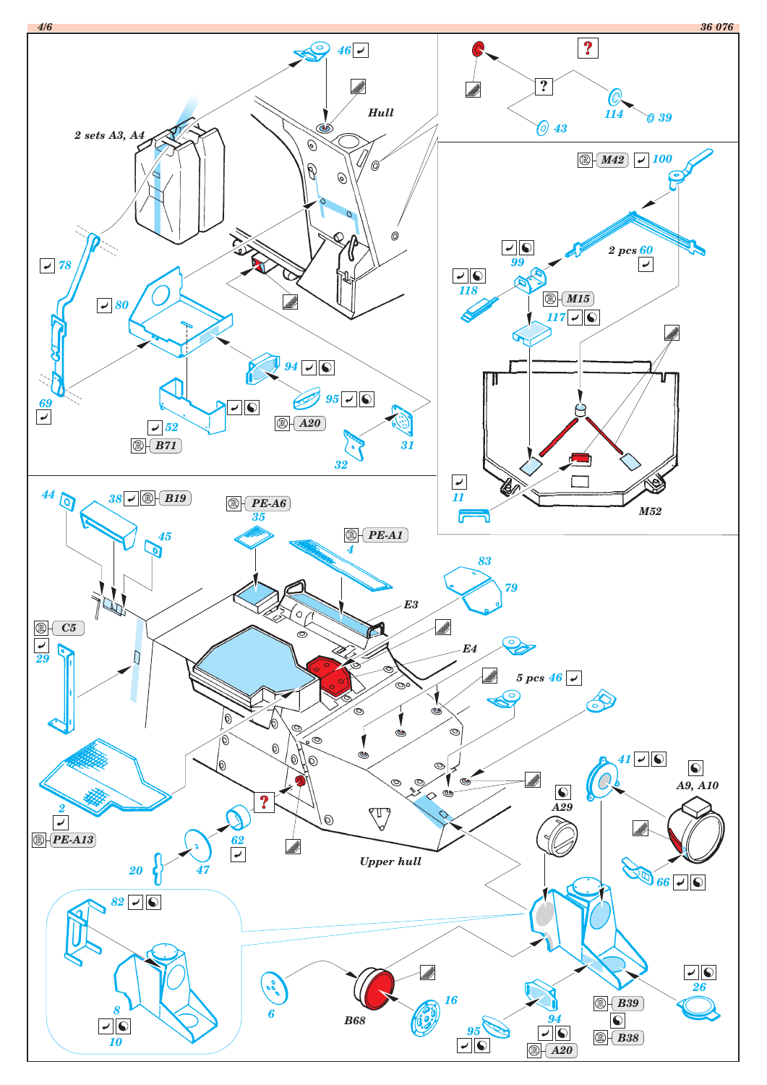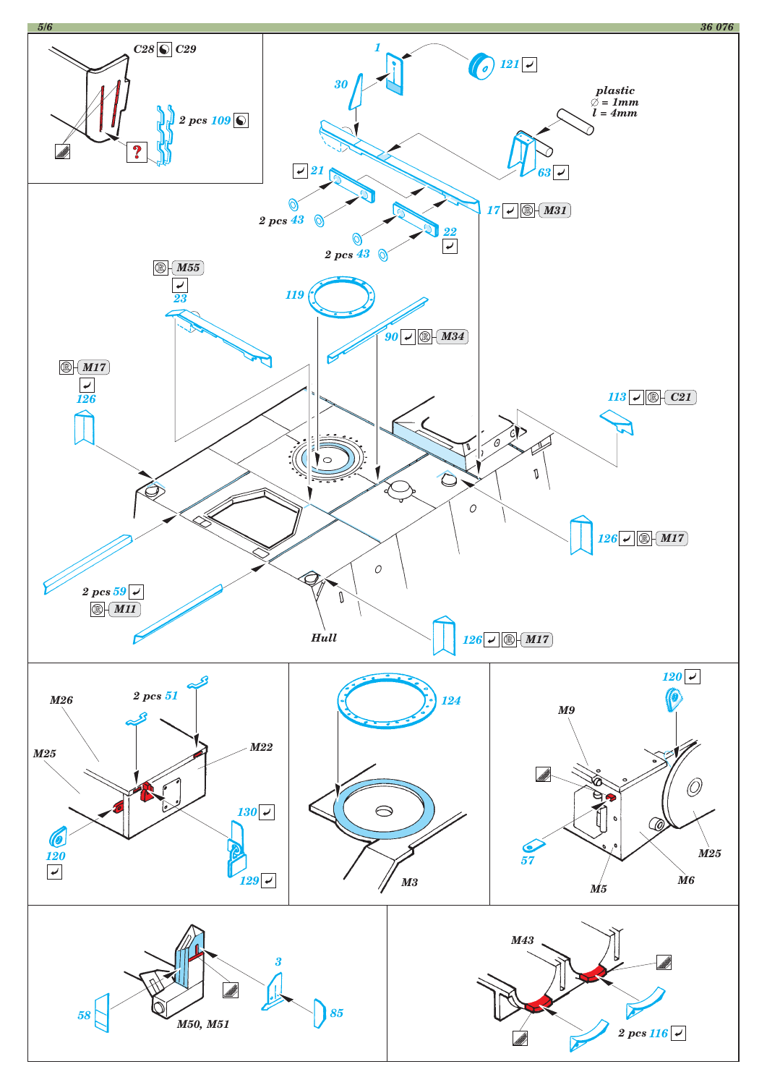